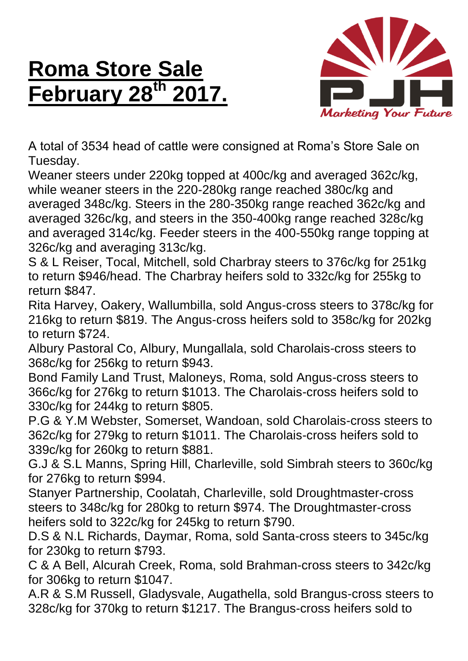## **Roma Store Sale February 28 th 2017.**



A total of 3534 head of cattle were consigned at Roma's Store Sale on Tuesday.

Weaner steers under 220kg topped at 400c/kg and averaged 362c/kg, while weaner steers in the 220-280kg range reached 380c/kg and averaged 348c/kg. Steers in the 280-350kg range reached 362c/kg and averaged 326c/kg, and steers in the 350-400kg range reached 328c/kg and averaged 314c/kg. Feeder steers in the 400-550kg range topping at 326c/kg and averaging 313c/kg.

S & L Reiser, Tocal, Mitchell, sold Charbray steers to 376c/kg for 251kg to return \$946/head. The Charbray heifers sold to 332c/kg for 255kg to return \$847.

Rita Harvey, Oakery, Wallumbilla, sold Angus-cross steers to 378c/kg for 216kg to return \$819. The Angus-cross heifers sold to 358c/kg for 202kg to return \$724.

Albury Pastoral Co, Albury, Mungallala, sold Charolais-cross steers to 368c/kg for 256kg to return \$943.

Bond Family Land Trust, Maloneys, Roma, sold Angus-cross steers to 366c/kg for 276kg to return \$1013. The Charolais-cross heifers sold to 330c/kg for 244kg to return \$805.

P.G & Y.M Webster, Somerset, Wandoan, sold Charolais-cross steers to 362c/kg for 279kg to return \$1011. The Charolais-cross heifers sold to 339c/kg for 260kg to return \$881.

G.J & S.L Manns, Spring Hill, Charleville, sold Simbrah steers to 360c/kg for 276kg to return \$994.

Stanyer Partnership, Coolatah, Charleville, sold Droughtmaster-cross steers to 348c/kg for 280kg to return \$974. The Droughtmaster-cross heifers sold to 322c/kg for 245kg to return \$790.

D.S & N.L Richards, Daymar, Roma, sold Santa-cross steers to 345c/kg for 230kg to return \$793.

C & A Bell, Alcurah Creek, Roma, sold Brahman-cross steers to 342c/kg for 306kg to return \$1047.

A.R & S.M Russell, Gladysvale, Augathella, sold Brangus-cross steers to 328c/kg for 370kg to return \$1217. The Brangus-cross heifers sold to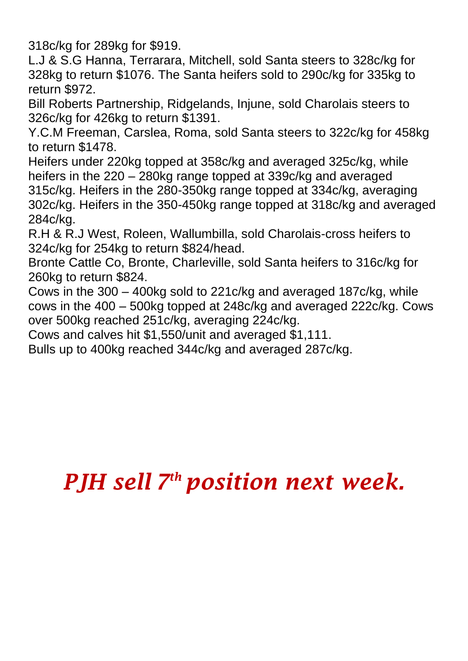318c/kg for 289kg for \$919.

L.J & S.G Hanna, Terrarara, Mitchell, sold Santa steers to 328c/kg for 328kg to return \$1076. The Santa heifers sold to 290c/kg for 335kg to return \$972.

Bill Roberts Partnership, Ridgelands, Injune, sold Charolais steers to 326c/kg for 426kg to return \$1391.

Y.C.M Freeman, Carslea, Roma, sold Santa steers to 322c/kg for 458kg to return \$1478.

Heifers under 220kg topped at 358c/kg and averaged 325c/kg, while heifers in the 220 – 280kg range topped at 339c/kg and averaged 315c/kg. Heifers in the 280-350kg range topped at 334c/kg, averaging 302c/kg. Heifers in the 350-450kg range topped at 318c/kg and averaged 284c/kg.

R.H & R.J West, Roleen, Wallumbilla, sold Charolais-cross heifers to 324c/kg for 254kg to return \$824/head.

Bronte Cattle Co, Bronte, Charleville, sold Santa heifers to 316c/kg for 260kg to return \$824.

Cows in the 300 – 400kg sold to 221c/kg and averaged 187c/kg, while cows in the 400 – 500kg topped at 248c/kg and averaged 222c/kg. Cows over 500kg reached 251c/kg, averaging 224c/kg.

Cows and calves hit \$1,550/unit and averaged \$1,111.

Bulls up to 400kg reached 344c/kg and averaged 287c/kg.

## *PJH sell 7 th position next week.*